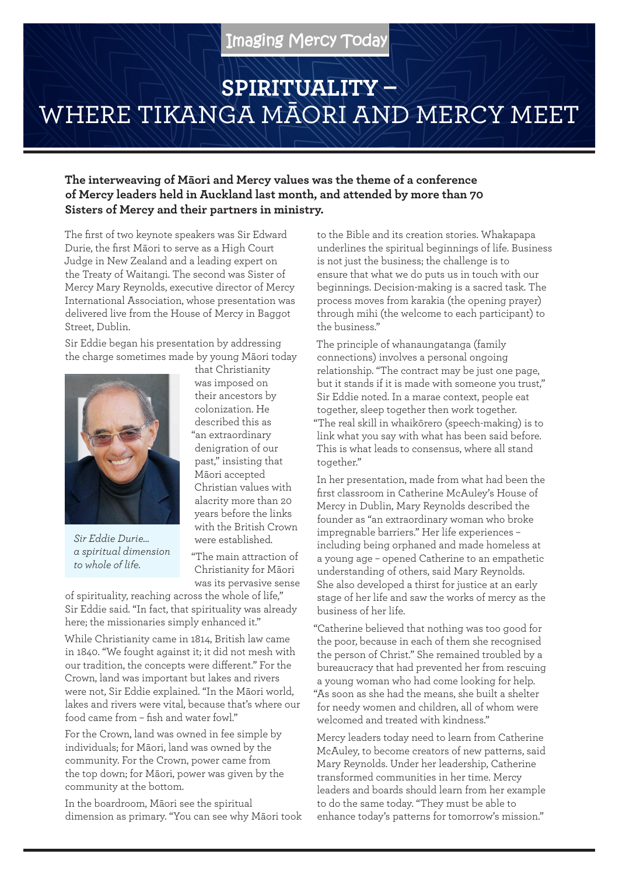## **SPIRITUALITY –**  WHERE TIKANGA MĀORI AND MERCY MEET

**The interweaving of Māori and Mercy values was the theme of a conference of Mercy leaders held in Auckland last month, and attended by more than 70 Sisters of Mercy and their partners in ministry.**

The first of two keynote speakers was Sir Edward Durie, the first Māori to serve as a High Court Judge in New Zealand and a leading expert on the Treaty of Waitangi. The second was Sister of Mercy Mary Reynolds, executive director of Mercy International Association, whose presentation was delivered live from the House of Mercy in Baggot Street, Dublin.

Sir Eddie began his presentation by addressing the charge sometimes made by young Māori today



*Sir Eddie Durie… a spiritual dimension to whole of life.*

that Christianity was imposed on their ancestors by colonization. He described this as "an extraordinary denigration of our past," insisting that Māori accepted Christian values with alacrity more than 20 years before the links with the British Crown were established.

"The main attraction of Christianity for Māori was its pervasive sense

of spirituality, reaching across the whole of life," Sir Eddie said. "In fact, that spirituality was already here; the missionaries simply enhanced it."

While Christianity came in 1814, British law came in 1840. "We fought against it; it did not mesh with our tradition, the concepts were different." For the Crown, land was important but lakes and rivers were not, Sir Eddie explained. "In the Māori world, lakes and rivers were vital, because that's where our food came from – fish and water fowl."

For the Crown, land was owned in fee simple by individuals; for Māori, land was owned by the community. For the Crown, power came from the top down; for Māori, power was given by the community at the bottom.

In the boardroom, Māori see the spiritual dimension as primary. "You can see why Māori took to the Bible and its creation stories. Whakapapa underlines the spiritual beginnings of life. Business is not just the business; the challenge is to ensure that what we do puts us in touch with our beginnings. Decision-making is a sacred task. The process moves from karakia (the opening prayer) through mihi (the welcome to each participant) to the business."

The principle of whanaungatanga (family connections) involves a personal ongoing relationship. "The contract may be just one page, but it stands if it is made with someone you trust," Sir Eddie noted. In a marae context, people eat together, sleep together then work together. "The real skill in whaikōrero (speech-making) is to link what you say with what has been said before. This is what leads to consensus, where all stand together."

In her presentation, made from what had been the first classroom in Catherine McAuley's House of Mercy in Dublin, Mary Reynolds described the founder as "an extraordinary woman who broke impregnable barriers." Her life experiences – including being orphaned and made homeless at a young age – opened Catherine to an empathetic understanding of others, said Mary Reynolds. She also developed a thirst for justice at an early stage of her life and saw the works of mercy as the business of her life.

"Catherine believed that nothing was too good for the poor, because in each of them she recognised the person of Christ." She remained troubled by a bureaucracy that had prevented her from rescuing a young woman who had come looking for help. "As soon as she had the means, she built a shelter for needy women and children, all of whom were welcomed and treated with kindness."

Mercy leaders today need to learn from Catherine McAuley, to become creators of new patterns, said Mary Reynolds. Under her leadership, Catherine transformed communities in her time. Mercy leaders and boards should learn from her example to do the same today. "They must be able to enhance today's patterns for tomorrow's mission."